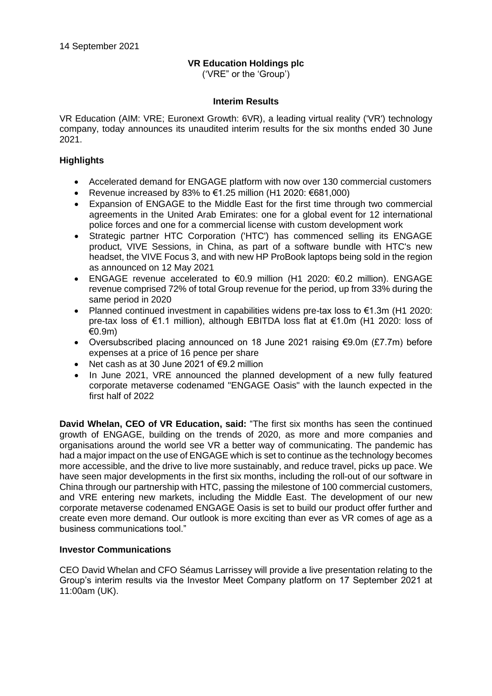# **VR Education Holdings plc**

('VRE" or the 'Group')

## **Interim Results**

VR Education (AIM: VRE; Euronext Growth: 6VR), a leading virtual reality ('VR') technology company, today announces its unaudited interim results for the six months ended 30 June 2021.

# **Highlights**

- Accelerated demand for ENGAGE platform with now over 130 commercial customers
- Revenue increased by 83% to  $\epsilon$ 1.25 million (H1 2020:  $\epsilon$ 681,000)
- Expansion of ENGAGE to the Middle East for the first time through two commercial agreements in the United Arab Emirates: one for a global event for 12 international police forces and one for a commercial license with custom development work
- Strategic partner HTC Corporation ('HTC') has commenced selling its ENGAGE product, VIVE Sessions, in China, as part of a software bundle with HTC's new headset, the VIVE Focus 3, and with new HP ProBook laptops being sold in the region as announced on 12 May 2021
- ENGAGE revenue accelerated to  $\epsilon$ 0.9 million (H1 2020:  $\epsilon$ 0.2 million). ENGAGE revenue comprised 72% of total Group revenue for the period, up from 33% during the same period in 2020
- Planned continued investment in capabilities widens pre-tax loss to €1.3m (H1 2020: pre-tax loss of €1.1 million), although EBITDA loss flat at €1.0m (H1 2020: loss of €0.9m)
- Oversubscribed placing announced on 18 June 2021 raising €9.0m (£7.7m) before expenses at a price of 16 pence per share
- Net cash as at 30 June 2021 of €9.2 million
- In June 2021, VRE announced the planned development of a new fully featured corporate metaverse codenamed "ENGAGE Oasis" with the launch expected in the first half of 2022

**David Whelan, CEO of VR Education, said:** "The first six months has seen the continued growth of ENGAGE, building on the trends of 2020, as more and more companies and organisations around the world see VR a better way of communicating. The pandemic has had a major impact on the use of ENGAGE which is set to continue as the technology becomes more accessible, and the drive to live more sustainably, and reduce travel, picks up pace. We have seen major developments in the first six months, including the roll-out of our software in China through our partnership with HTC, passing the milestone of 100 commercial customers, and VRE entering new markets, including the Middle East. The development of our new corporate metaverse codenamed ENGAGE Oasis is set to build our product offer further and create even more demand. Our outlook is more exciting than ever as VR comes of age as a business communications tool."

## **Investor Communications**

CEO David Whelan and CFO Séamus Larrissey will provide a live presentation relating to the Group's interim results via the Investor Meet Company platform on 17 September 2021 at 11:00am (UK).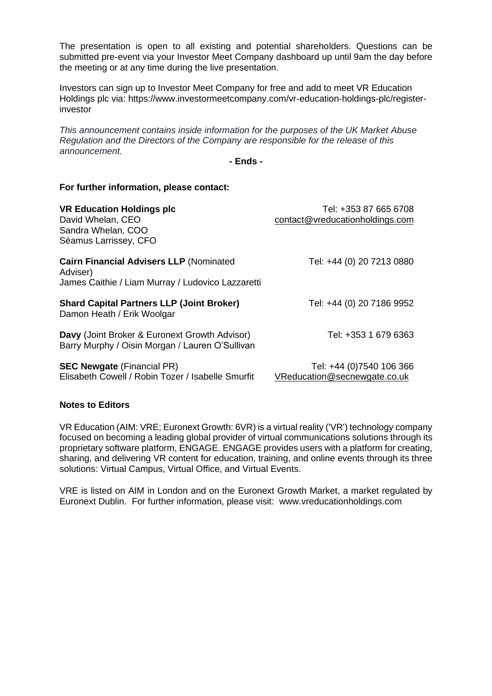The presentation is open to all existing and potential shareholders. Questions can be submitted pre-event via your Investor Meet Company dashboard up until 9am the day before the meeting or at any time during the live presentation.

Investors can sign up to Investor Meet Company for free and add to meet VR Education Holdings plc via: https://www.investormeetcompany.com/vr-education-holdings-plc/registerinvestor

*This announcement contains inside information for the purposes of the UK Market Abuse Regulation and the Directors of the Company are responsible for the release of this announcement.*

**- Ends -**

### **For further information, please contact:**

| <b>VR Education Holdings plc</b><br>David Whelan, CEO<br>Sandra Whelan, COO<br>Séamus Larrissey, CFO            | Tel: +353 87 665 6708<br>contact@vreducationholdings.com |
|-----------------------------------------------------------------------------------------------------------------|----------------------------------------------------------|
| <b>Cairn Financial Advisers LLP (Nominated</b><br>Adviser)<br>James Caithie / Liam Murray / Ludovico Lazzaretti | Tel: +44 (0) 20 7213 0880                                |
| <b>Shard Capital Partners LLP (Joint Broker)</b><br>Damon Heath / Erik Woolgar                                  | Tel: +44 (0) 20 7186 9952                                |
| Davy (Joint Broker & Euronext Growth Advisor)<br>Barry Murphy / Oisin Morgan / Lauren O'Sullivan                | Tel: +353 1 679 6363                                     |
| <b>SEC Newgate (Financial PR)</b><br>Elisabeth Cowell / Robin Tozer / Isabelle Smurfit                          | Tel: +44 (0)7540 106 366<br>VReducation@secnewgate.co.uk |

## **Notes to Editors**

VR Education (AIM: VRE; Euronext Growth: 6VR) is a virtual reality ('VR') technology company focused on becoming a leading global provider of virtual communications solutions through its proprietary software platform, ENGAGE. ENGAGE provides users with a platform for creating, sharing, and delivering VR content for education, training, and online events through its three solutions: Virtual Campus, Virtual Office, and Virtual Events.

VRE is listed on AIM in London and on the Euronext Growth Market, a market regulated by Euronext Dublin. For further information, please visit: www.vreducationholdings.com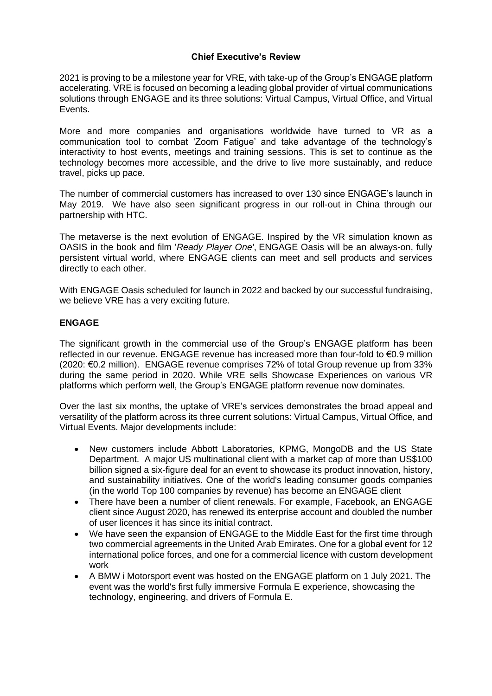## **Chief Executive's Review**

2021 is proving to be a milestone year for VRE, with take-up of the Group's ENGAGE platform accelerating. VRE is focused on becoming a leading global provider of virtual communications solutions through ENGAGE and its three solutions: Virtual Campus, Virtual Office, and Virtual Events.

More and more companies and organisations worldwide have turned to VR as a communication tool to combat 'Zoom Fatigue' and take advantage of the technology's interactivity to host events, meetings and training sessions. This is set to continue as the technology becomes more accessible, and the drive to live more sustainably, and reduce travel, picks up pace.

The number of commercial customers has increased to over 130 since ENGAGE's launch in May 2019. We have also seen significant progress in our roll-out in China through our partnership with HTC.

The metaverse is the next evolution of ENGAGE. Inspired by the VR simulation known as OASIS in the book and film '*Ready Player One'*, ENGAGE Oasis will be an always-on, fully persistent virtual world, where ENGAGE clients can meet and sell products and services directly to each other.

With ENGAGE Oasis scheduled for launch in 2022 and backed by our successful fundraising, we believe VRE has a very exciting future.

## **ENGAGE**

The significant growth in the commercial use of the Group's ENGAGE platform has been reflected in our revenue. ENGAGE revenue has increased more than four-fold to €0.9 million (2020: €0.2 million). ENGAGE revenue comprises 72% of total Group revenue up from 33% during the same period in 2020. While VRE sells Showcase Experiences on various VR platforms which perform well, the Group's ENGAGE platform revenue now dominates.

Over the last six months, the uptake of VRE's services demonstrates the broad appeal and versatility of the platform across its three current solutions: Virtual Campus, Virtual Office, and Virtual Events. Major developments include:

- New customers include Abbott Laboratories, KPMG, MongoDB and the US State Department. A major US multinational client with a market cap of more than US\$100 billion signed a six-figure deal for an event to showcase its product innovation, history, and sustainability initiatives. One of the world's leading consumer goods companies (in the world Top 100 companies by revenue) has become an ENGAGE client
- There have been a number of client renewals. For example, Facebook, an ENGAGE client since August 2020, has renewed its enterprise account and doubled the number of user licences it has since its initial contract.
- We have seen the expansion of ENGAGE to the Middle East for the first time through two commercial agreements in the United Arab Emirates. One for a global event for 12 international police forces, and one for a commercial licence with custom development work
- A BMW i Motorsport event was hosted on the ENGAGE platform on 1 July 2021. The event was the world's first fully immersive Formula E experience, showcasing the technology, engineering, and drivers of Formula E.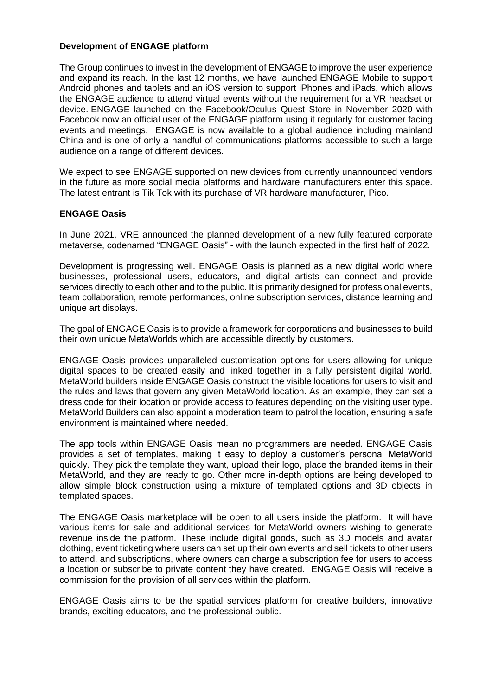### **Development of ENGAGE platform**

The Group continues to invest in the development of ENGAGE to improve the user experience and expand its reach. In the last 12 months, we have launched ENGAGE Mobile to support Android phones and tablets and an iOS version to support iPhones and iPads, which allows the ENGAGE audience to attend virtual events without the requirement for a VR headset or device. ENGAGE launched on the Facebook/Oculus Quest Store in November 2020 with Facebook now an official user of the ENGAGE platform using it regularly for customer facing events and meetings. ENGAGE is now available to a global audience including mainland China and is one of only a handful of communications platforms accessible to such a large audience on a range of different devices.

We expect to see ENGAGE supported on new devices from currently unannounced vendors in the future as more social media platforms and hardware manufacturers enter this space. The latest entrant is Tik Tok with its purchase of VR hardware manufacturer, Pico.

## **ENGAGE Oasis**

In June 2021, VRE announced the planned development of a new fully featured corporate metaverse, codenamed "ENGAGE Oasis" - with the launch expected in the first half of 2022.

Development is progressing well. ENGAGE Oasis is planned as a new digital world where businesses, professional users, educators, and digital artists can connect and provide services directly to each other and to the public. It is primarily designed for professional events, team collaboration, remote performances, online subscription services, distance learning and unique art displays.

The goal of ENGAGE Oasis is to provide a framework for corporations and businesses to build their own unique MetaWorlds which are accessible directly by customers.

ENGAGE Oasis provides unparalleled customisation options for users allowing for unique digital spaces to be created easily and linked together in a fully persistent digital world. MetaWorld builders inside ENGAGE Oasis construct the visible locations for users to visit and the rules and laws that govern any given MetaWorld location. As an example, they can set a dress code for their location or provide access to features depending on the visiting user type. MetaWorld Builders can also appoint a moderation team to patrol the location, ensuring a safe environment is maintained where needed.

The app tools within ENGAGE Oasis mean no programmers are needed. ENGAGE Oasis provides a set of templates, making it easy to deploy a customer's personal MetaWorld quickly. They pick the template they want, upload their logo, place the branded items in their MetaWorld, and they are ready to go. Other more in-depth options are being developed to allow simple block construction using a mixture of templated options and 3D objects in templated spaces.

The ENGAGE Oasis marketplace will be open to all users inside the platform. It will have various items for sale and additional services for MetaWorld owners wishing to generate revenue inside the platform. These include digital goods, such as 3D models and avatar clothing, event ticketing where users can set up their own events and sell tickets to other users to attend, and subscriptions, where owners can charge a subscription fee for users to access a location or subscribe to private content they have created. ENGAGE Oasis will receive a commission for the provision of all services within the platform.

ENGAGE Oasis aims to be the spatial services platform for creative builders, innovative brands, exciting educators, and the professional public.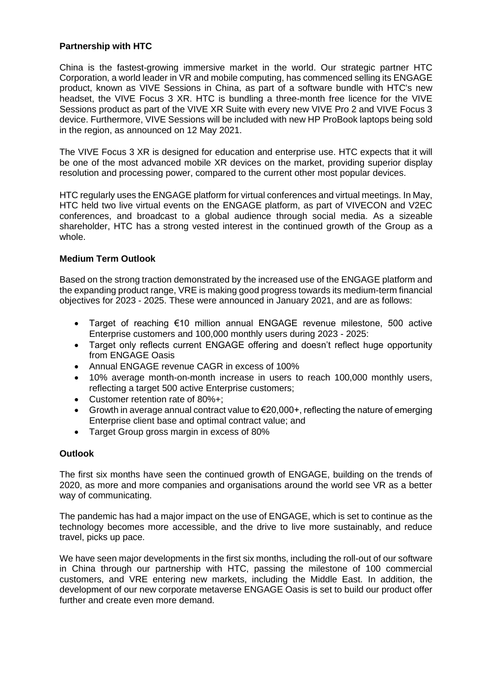# **Partnership with HTC**

China is the fastest-growing immersive market in the world. Our strategic partner HTC Corporation, a world leader in VR and mobile computing, has commenced selling its ENGAGE product, known as VIVE Sessions in China, as part of a software bundle with HTC's new headset, the VIVE Focus 3 XR. HTC is bundling a three-month free licence for the VIVE Sessions product as part of the VIVE XR Suite with every new VIVE Pro 2 and VIVE Focus 3 device. Furthermore, VIVE Sessions will be included with new HP ProBook laptops being sold in the region, as announced on 12 May 2021.

The VIVE Focus 3 XR is designed for education and enterprise use. HTC expects that it will be one of the most advanced mobile XR devices on the market, providing superior display resolution and processing power, compared to the current other most popular devices.

HTC regularly uses the ENGAGE platform for virtual conferences and virtual meetings. In May, HTC held two live virtual events on the ENGAGE platform, as part of VIVECON and V2EC conferences, and broadcast to a global audience through social media. As a sizeable shareholder, HTC has a strong vested interest in the continued growth of the Group as a whole.

# **Medium Term Outlook**

Based on the strong traction demonstrated by the increased use of the ENGAGE platform and the expanding product range, VRE is making good progress towards its medium-term financial objectives for 2023 - 2025. These were announced in January 2021, and are as follows:

- Target of reaching €10 million annual ENGAGE revenue milestone, 500 active Enterprise customers and 100,000 monthly users during 2023 - 2025:
- Target only reflects current ENGAGE offering and doesn't reflect huge opportunity from ENGAGE Oasis
- Annual ENGAGE revenue CAGR in excess of 100%
- 10% average month-on-month increase in users to reach 100,000 monthly users, reflecting a target 500 active Enterprise customers;
- Customer retention rate of 80%+;
- Growth in average annual contract value to  $\epsilon$ 20,000+, reflecting the nature of emerging Enterprise client base and optimal contract value; and
- Target Group gross margin in excess of 80%

## **Outlook**

The first six months have seen the continued growth of ENGAGE, building on the trends of 2020, as more and more companies and organisations around the world see VR as a better way of communicating.

The pandemic has had a major impact on the use of ENGAGE, which is set to continue as the technology becomes more accessible, and the drive to live more sustainably, and reduce travel, picks up pace.

We have seen major developments in the first six months, including the roll-out of our software in China through our partnership with HTC, passing the milestone of 100 commercial customers, and VRE entering new markets, including the Middle East. In addition, the development of our new corporate metaverse ENGAGE Oasis is set to build our product offer further and create even more demand.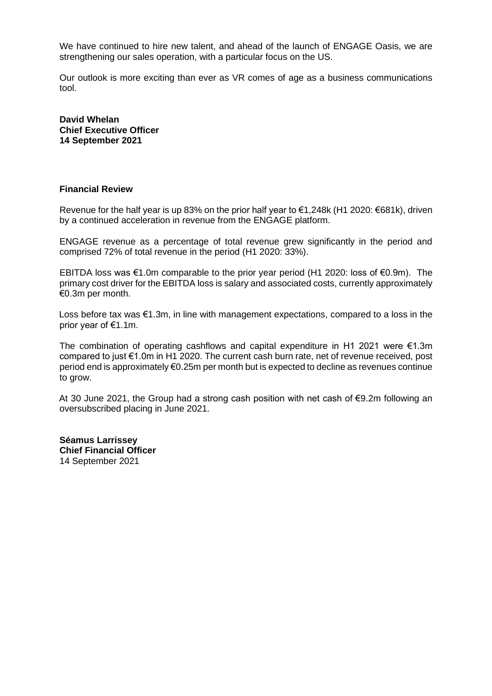We have continued to hire new talent, and ahead of the launch of ENGAGE Oasis, we are strengthening our sales operation, with a particular focus on the US.

Our outlook is more exciting than ever as VR comes of age as a business communications tool.

**David Whelan Chief Executive Officer 14 September 2021**

#### **Financial Review**

Revenue for the half year is up 83% on the prior half year to €1,248k (H1 2020: €681k), driven by a continued acceleration in revenue from the ENGAGE platform.

ENGAGE revenue as a percentage of total revenue grew significantly in the period and comprised 72% of total revenue in the period (H1 2020: 33%).

EBITDA loss was €1.0m comparable to the prior year period (H1 2020: loss of €0.9m). The primary cost driver for the EBITDA loss is salary and associated costs, currently approximately €0.3m per month.

Loss before tax was €1.3m, in line with management expectations, compared to a loss in the prior year of €1.1m.

The combination of operating cashflows and capital expenditure in H1 2021 were  $\epsilon$ 1.3m compared to just €1.0m in H1 2020. The current cash burn rate, net of revenue received, post period end is approximately €0.25m per month but is expected to decline as revenues continue to grow.

At 30 June 2021, the Group had a strong cash position with net cash of €9.2m following an oversubscribed placing in June 2021.

**Séamus Larrissey Chief Financial Officer** 14 September 2021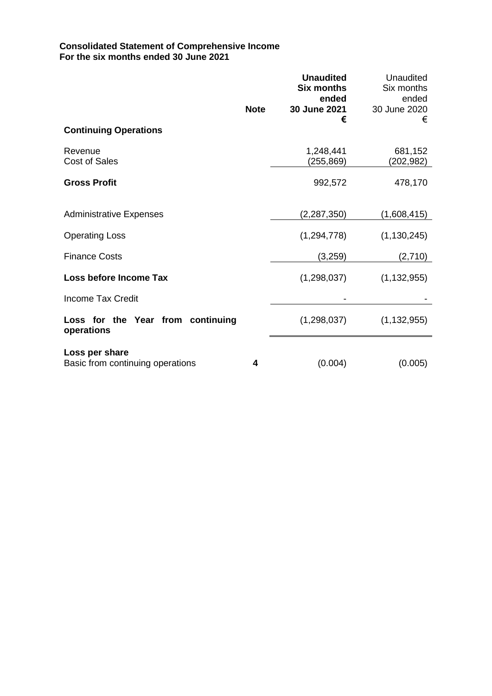## **Consolidated Statement of Comprehensive Income For the six months ended 30 June 2021**

|                                                    | <b>Note</b> | <b>Unaudited</b><br><b>Six months</b><br>ended<br>30 June 2021 | Unaudited<br>Six months<br>ended<br>30 June 2020 |
|----------------------------------------------------|-------------|----------------------------------------------------------------|--------------------------------------------------|
| <b>Continuing Operations</b>                       |             | €                                                              | €                                                |
| Revenue<br><b>Cost of Sales</b>                    |             | 1,248,441<br>(255,869)                                         | 681,152<br>(202,982)                             |
| <b>Gross Profit</b>                                |             | 992,572                                                        | 478,170                                          |
| <b>Administrative Expenses</b>                     |             | (2, 287, 350)                                                  | (1,608,415)                                      |
| <b>Operating Loss</b>                              |             | (1, 294, 778)                                                  | (1, 130, 245)                                    |
| <b>Finance Costs</b>                               |             | (3,259)                                                        | (2,710)                                          |
| Loss before Income Tax                             |             | (1,298,037)                                                    | (1, 132, 955)                                    |
| Income Tax Credit                                  |             |                                                                |                                                  |
| Loss for the Year from continuing<br>operations    |             | (1,298,037)                                                    | (1, 132, 955)                                    |
| Loss per share<br>Basic from continuing operations | 4           | (0.004)                                                        | (0.005)                                          |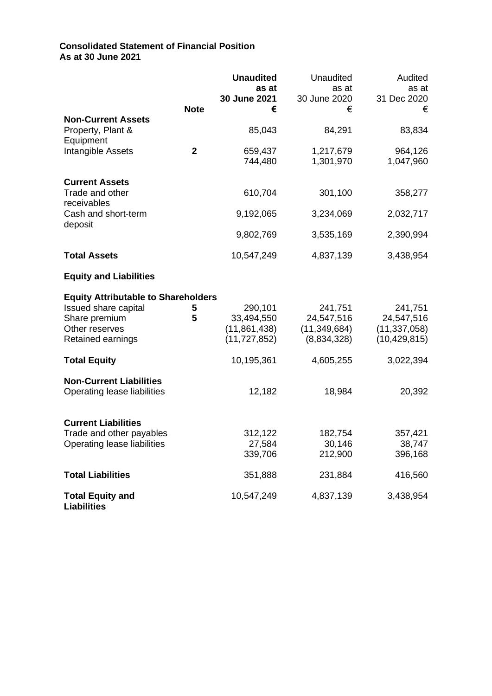# **Consolidated Statement of Financial Position As at 30 June 2021**

|                                               |             | <b>Unaudited</b><br>as at | <b>Unaudited</b><br>as at | Audited<br>as at     |
|-----------------------------------------------|-------------|---------------------------|---------------------------|----------------------|
|                                               | <b>Note</b> | 30 June 2021<br>€         | 30 June 2020<br>€         | 31 Dec 2020<br>€     |
| <b>Non-Current Assets</b>                     |             |                           |                           |                      |
| Property, Plant &<br>Equipment                |             | 85,043                    | 84,291                    | 83,834               |
| Intangible Assets                             | $\mathbf 2$ | 659,437<br>744,480        | 1,217,679<br>1,301,970    | 964,126<br>1,047,960 |
| <b>Current Assets</b>                         |             |                           |                           |                      |
| Trade and other<br>receivables                |             | 610,704                   | 301,100                   | 358,277              |
| Cash and short-term<br>deposit                |             | 9,192,065                 | 3,234,069                 | 2,032,717            |
|                                               |             | 9,802,769                 | 3,535,169                 | 2,390,994            |
| <b>Total Assets</b>                           |             | 10,547,249                | 4,837,139                 | 3,438,954            |
| <b>Equity and Liabilities</b>                 |             |                           |                           |                      |
| <b>Equity Attributable to Shareholders</b>    |             |                           |                           |                      |
| Issued share capital                          | 5           | 290,101                   | 241,751                   | 241,751              |
| Share premium                                 | 5           | 33,494,550                | 24,547,516                | 24,547,516           |
| Other reserves                                |             | (11, 861, 438)            | (11, 349, 684)            | (11, 337, 058)       |
| Retained earnings                             |             | (11, 727, 852)            | (8,834,328)               | (10, 429, 815)       |
| <b>Total Equity</b>                           |             | 10,195,361                | 4,605,255                 | 3,022,394            |
| <b>Non-Current Liabilities</b>                |             |                           |                           |                      |
| Operating lease liabilities                   |             | 12,182                    | 18,984                    | 20,392               |
| <b>Current Liabilities</b>                    |             |                           |                           |                      |
| Trade and other payables                      |             | 312,122                   | 182,754                   | 357,421              |
| Operating lease liabilities                   |             | 27,584                    | 30,146                    | 38,747               |
|                                               |             | 339,706                   | 212,900                   | 396,168              |
| <b>Total Liabilities</b>                      |             | 351,888                   | 231,884                   | 416,560              |
| <b>Total Equity and</b><br><b>Liabilities</b> |             | 10,547,249                | 4,837,139                 | 3,438,954            |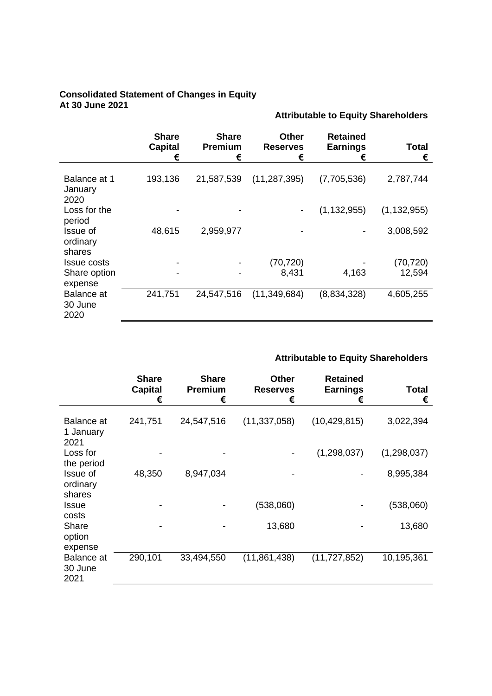### **Consolidated Statement of Changes in Equity At 30 June 2021**

|                                          | <b>Share</b><br><b>Capital</b><br>€ | <b>Share</b><br>Premium<br>€ | <b>Other</b><br><b>Reserves</b><br>€ | <b>Retained</b><br><b>Earnings</b><br>€ | Total<br>€    |
|------------------------------------------|-------------------------------------|------------------------------|--------------------------------------|-----------------------------------------|---------------|
| Balance at 1<br>January<br>2020          | 193,136                             | 21,587,539                   | (11, 287, 395)                       | (7,705,536)                             | 2,787,744     |
| Loss for the                             |                                     |                              |                                      | (1, 132, 955)                           | (1, 132, 955) |
| period<br>Issue of<br>ordinary<br>shares | 48,615                              | 2,959,977                    |                                      |                                         | 3,008,592     |
| Issue costs                              |                                     |                              | (70, 720)                            |                                         | (70, 720)     |
| Share option<br>expense                  |                                     |                              | 8,431                                | 4,163                                   | 12,594        |
| <b>Balance</b> at<br>30 June<br>2020     | 241,751                             | 24,547,516                   | (11, 349, 684)                       | (8,834,328)                             | 4,605,255     |

# **Attributable to Equity Shareholders**

**Attributable to Equity Shareholders**

|                                              | <b>Share</b><br><b>Capital</b><br>€ | <b>Share</b><br><b>Premium</b><br>€ | <b>Other</b><br><b>Reserves</b><br>€ | <b>Retained</b><br><b>Earnings</b><br>€ | Total<br>€  |
|----------------------------------------------|-------------------------------------|-------------------------------------|--------------------------------------|-----------------------------------------|-------------|
| <b>Balance</b> at<br>1 January<br>2021       | 241,751                             | 24,547,516                          | (11, 337, 058)                       | (10, 429, 815)                          | 3,022,394   |
| Loss for                                     |                                     |                                     |                                      | (1,298,037)                             | (1,298,037) |
| the period<br>Issue of<br>ordinary<br>shares | 48,350                              | 8,947,034                           |                                      |                                         | 8,995,384   |
| Issue                                        |                                     |                                     | (538,060)                            |                                         | (538,060)   |
| costs<br>Share<br>option<br>expense          |                                     |                                     | 13,680                               |                                         | 13,680      |
| Balance at<br>30 June<br>2021                | 290,101                             | 33,494,550                          | (11, 861, 438)                       | (11, 727, 852)                          | 10,195,361  |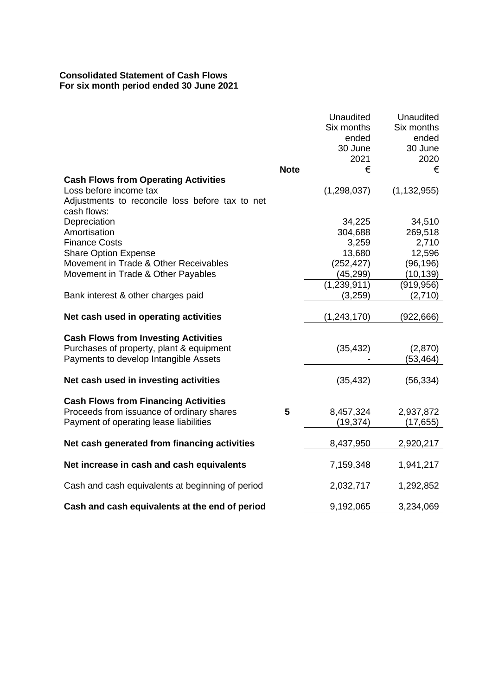# **Consolidated Statement of Cash Flows For six month period ended 30 June 2021**

|                                                                                         |             | <b>Unaudited</b><br>Six months<br>ended<br>30 June<br>2021 | Unaudited<br>Six months<br>ended<br>30 June<br>2020 |
|-----------------------------------------------------------------------------------------|-------------|------------------------------------------------------------|-----------------------------------------------------|
|                                                                                         | <b>Note</b> | €                                                          | €                                                   |
| <b>Cash Flows from Operating Activities</b>                                             |             |                                                            |                                                     |
| Loss before income tax                                                                  |             | (1, 298, 037)                                              | (1, 132, 955)                                       |
| Adjustments to reconcile loss before tax to net<br>cash flows:                          |             |                                                            |                                                     |
| Depreciation                                                                            |             | 34,225                                                     | 34,510                                              |
| Amortisation                                                                            |             | 304,688                                                    | 269,518                                             |
| <b>Finance Costs</b>                                                                    |             | 3,259                                                      | 2,710                                               |
| <b>Share Option Expense</b>                                                             |             | 13,680                                                     | 12,596                                              |
| Movement in Trade & Other Receivables                                                   |             | (252, 427)                                                 | (96, 196)                                           |
| Movement in Trade & Other Payables                                                      |             | (45, 299)                                                  | (10, 139)                                           |
|                                                                                         |             | (1, 239, 911)                                              | (919, 956)                                          |
| Bank interest & other charges paid                                                      |             | (3,259)                                                    | (2,710)                                             |
| Net cash used in operating activities                                                   |             | (1, 243, 170)                                              | (922, 666)                                          |
| <b>Cash Flows from Investing Activities</b><br>Purchases of property, plant & equipment |             | (35, 432)                                                  | (2,870)                                             |
| Payments to develop Intangible Assets                                                   |             |                                                            | (53,464)                                            |
| Net cash used in investing activities                                                   |             | (35, 432)                                                  | (56, 334)                                           |
| <b>Cash Flows from Financing Activities</b>                                             |             |                                                            |                                                     |
| Proceeds from issuance of ordinary shares                                               | 5           | 8,457,324                                                  | 2,937,872                                           |
| Payment of operating lease liabilities                                                  |             | (19, 374)                                                  | (17, 655)                                           |
| Net cash generated from financing activities                                            |             | 8,437,950                                                  | 2,920,217                                           |
| Net increase in cash and cash equivalents                                               |             | 7,159,348                                                  | 1,941,217                                           |
|                                                                                         |             |                                                            |                                                     |
| Cash and cash equivalents at beginning of period                                        |             | 2,032,717                                                  | 1,292,852                                           |
| Cash and cash equivalents at the end of period                                          |             | 9,192,065                                                  | 3,234,069                                           |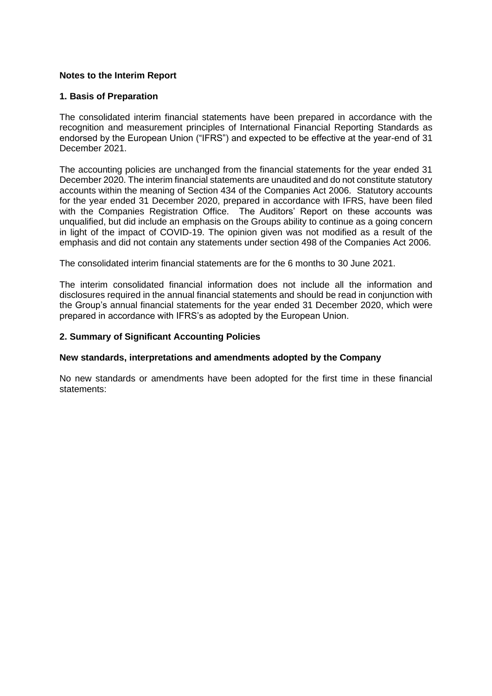# **Notes to the Interim Report**

### **1. Basis of Preparation**

The consolidated interim financial statements have been prepared in accordance with the recognition and measurement principles of International Financial Reporting Standards as endorsed by the European Union ("IFRS") and expected to be effective at the year-end of 31 December 2021.

The accounting policies are unchanged from the financial statements for the year ended 31 December 2020. The interim financial statements are unaudited and do not constitute statutory accounts within the meaning of Section 434 of the Companies Act 2006. Statutory accounts for the year ended 31 December 2020, prepared in accordance with IFRS, have been filed with the Companies Registration Office. The Auditors' Report on these accounts was unqualified, but did include an emphasis on the Groups ability to continue as a going concern in light of the impact of COVID-19. The opinion given was not modified as a result of the emphasis and did not contain any statements under section 498 of the Companies Act 2006.

The consolidated interim financial statements are for the 6 months to 30 June 2021.

The interim consolidated financial information does not include all the information and disclosures required in the annual financial statements and should be read in conjunction with the Group's annual financial statements for the year ended 31 December 2020, which were prepared in accordance with IFRS's as adopted by the European Union.

### **2. Summary of Significant Accounting Policies**

#### **New standards, interpretations and amendments adopted by the Company**

No new standards or amendments have been adopted for the first time in these financial statements: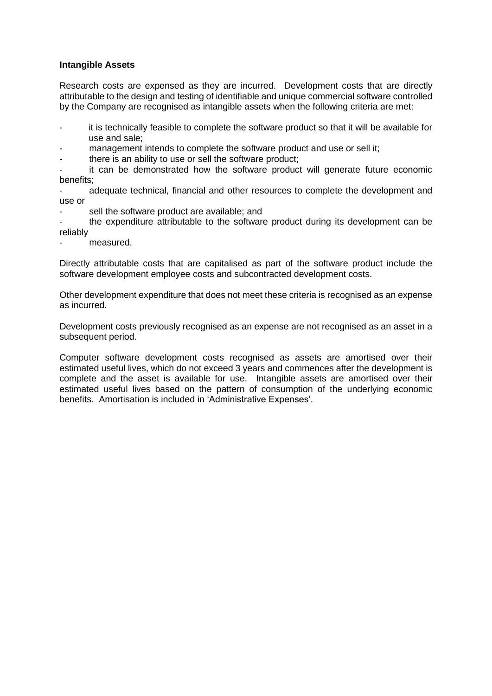### **Intangible Assets**

Research costs are expensed as they are incurred. Development costs that are directly attributable to the design and testing of identifiable and unique commercial software controlled by the Company are recognised as intangible assets when the following criteria are met:

- it is technically feasible to complete the software product so that it will be available for use and sale;
- management intends to complete the software product and use or sell it;
- there is an ability to use or sell the software product;

it can be demonstrated how the software product will generate future economic benefits;

adequate technical, financial and other resources to complete the development and use or

sell the software product are available; and

the expenditure attributable to the software product during its development can be reliably

measured.

Directly attributable costs that are capitalised as part of the software product include the software development employee costs and subcontracted development costs.

Other development expenditure that does not meet these criteria is recognised as an expense as incurred.

Development costs previously recognised as an expense are not recognised as an asset in a subsequent period.

Computer software development costs recognised as assets are amortised over their estimated useful lives, which do not exceed 3 years and commences after the development is complete and the asset is available for use. Intangible assets are amortised over their estimated useful lives based on the pattern of consumption of the underlying economic benefits. Amortisation is included in 'Administrative Expenses'.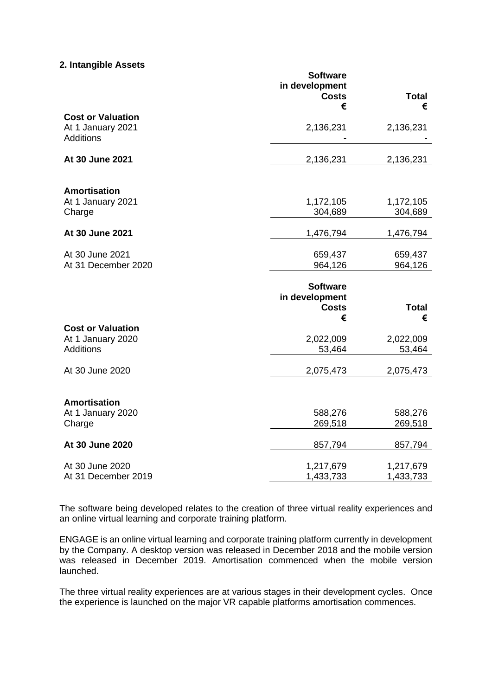### **2. Intangible Assets**

|                                                                   | <b>Software</b><br>in development<br><b>Costs</b><br>€ | <b>Total</b><br>€      |
|-------------------------------------------------------------------|--------------------------------------------------------|------------------------|
| <b>Cost or Valuation</b><br>At 1 January 2021<br><b>Additions</b> | 2,136,231                                              | 2,136,231              |
| At 30 June 2021                                                   | 2,136,231                                              | 2,136,231              |
| <b>Amortisation</b><br>At 1 January 2021<br>Charge                | 1,172,105<br>304,689                                   | 1,172,105<br>304,689   |
| At 30 June 2021                                                   | 1,476,794                                              | 1,476,794              |
| At 30 June 2021<br>At 31 December 2020                            | 659,437<br>964,126                                     | 659,437<br>964,126     |
|                                                                   | <b>Software</b><br>in development<br><b>Costs</b><br>€ | <b>Total</b><br>€      |
| <b>Cost or Valuation</b><br>At 1 January 2020<br><b>Additions</b> | 2,022,009<br>53,464                                    | 2,022,009<br>53,464    |
| At 30 June 2020                                                   | 2,075,473                                              | 2,075,473              |
| <b>Amortisation</b><br>At 1 January 2020<br>Charge                | 588,276<br>269,518                                     | 588,276<br>269,518     |
| At 30 June 2020                                                   | 857,794                                                | 857,794                |
| At 30 June 2020<br>At 31 December 2019                            | 1,217,679<br>1,433,733                                 | 1,217,679<br>1,433,733 |

The software being developed relates to the creation of three virtual reality experiences and an online virtual learning and corporate training platform.

ENGAGE is an online virtual learning and corporate training platform currently in development by the Company. A desktop version was released in December 2018 and the mobile version was released in December 2019. Amortisation commenced when the mobile version launched.

The three virtual reality experiences are at various stages in their development cycles. Once the experience is launched on the major VR capable platforms amortisation commences.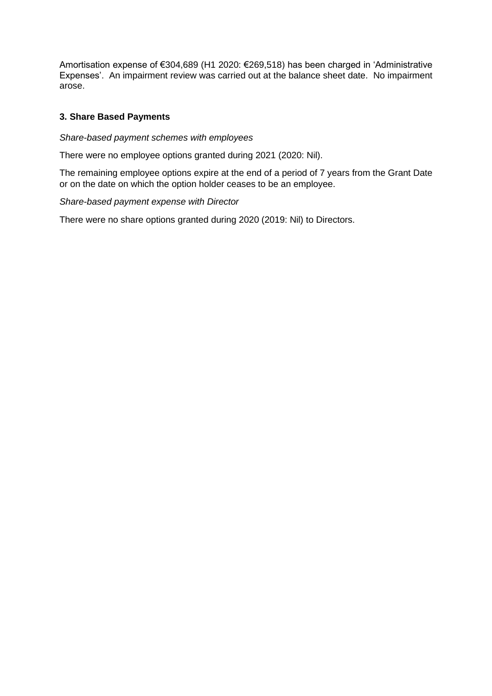Amortisation expense of €304,689 (H1 2020: €269,518) has been charged in 'Administrative Expenses'. An impairment review was carried out at the balance sheet date. No impairment arose.

# **3. Share Based Payments**

# *Share-based payment schemes with employees*

There were no employee options granted during 2021 (2020: Nil).

The remaining employee options expire at the end of a period of 7 years from the Grant Date or on the date on which the option holder ceases to be an employee.

### *Share-based payment expense with Director*

There were no share options granted during 2020 (2019: Nil) to Directors.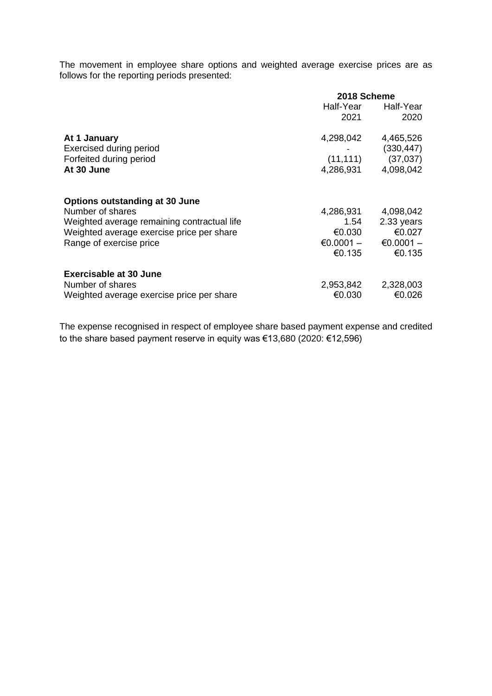The movement in employee share options and weighted average exercise prices are as follows for the reporting periods presented:

|                                                                                                                                                                                  | 2018 Scheme                                          |                                                            |  |
|----------------------------------------------------------------------------------------------------------------------------------------------------------------------------------|------------------------------------------------------|------------------------------------------------------------|--|
|                                                                                                                                                                                  | Half-Year<br>2021                                    | Half-Year<br>2020                                          |  |
| At 1 January<br><b>Exercised during period</b><br>Forfeited during period<br>At 30 June                                                                                          | 4,298,042<br>(11, 111)<br>4,286,931                  | 4,465,526<br>(330, 447)<br>(37,037)<br>4,098,042           |  |
| <b>Options outstanding at 30 June</b><br>Number of shares<br>Weighted average remaining contractual life<br>Weighted average exercise price per share<br>Range of exercise price | 4,286,931<br>1.54<br>€0.030<br>$€0.0001 -$<br>€0.135 | 4,098,042<br>2.33 years<br>€0.027<br>$€0.0001 -$<br>€0.135 |  |
| <b>Exercisable at 30 June</b><br>Number of shares<br>Weighted average exercise price per share                                                                                   | 2,953,842<br>€0.030                                  | 2,328,003<br>€0.026                                        |  |

The expense recognised in respect of employee share based payment expense and credited to the share based payment reserve in equity was €13,680 (2020: €12,596)